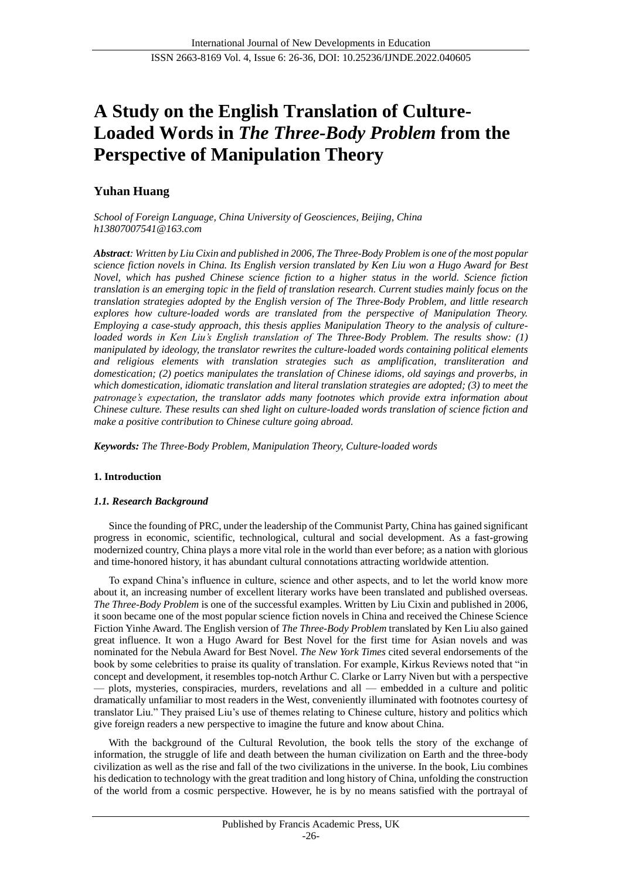# **A Study on the English Translation of Culture-Loaded Words in** *The Three-Body Problem* **from the Perspective of Manipulation Theory**

## **Yuhan Huang**

*School of Foreign Language, China University of Geosciences, Beijing, China h13807007541@163.com*

*Abstract: Written by Liu Cixin and published in 2006, The Three-Body Problem is one of the most popular science fiction novels in China. Its English version translated by Ken Liu won a Hugo Award for Best Novel, which has pushed Chinese science fiction to a higher status in the world. Science fiction translation is an emerging topic in the field of translation research. Current studies mainly focus on the translation strategies adopted by the English version of The Three-Body Problem, and little research explores how culture-loaded words are translated from the perspective of Manipulation Theory. Employing a case-study approach, this thesis applies Manipulation Theory to the analysis of cultureloaded words in Ken Liu's English translation of The Three-Body Problem. The results show: (1) manipulated by ideology, the translator rewrites the culture-loaded words containing political elements and religious elements with translation strategies such as amplification, transliteration and domestication; (2) poetics manipulates the translation of Chinese idioms, old sayings and proverbs, in which domestication, idiomatic translation and literal translation strategies are adopted; (3) to meet the patronage's expectation, the translator adds many footnotes which provide extra information about Chinese culture. These results can shed light on culture-loaded words translation of science fiction and make a positive contribution to Chinese culture going abroad.* 

*Keywords: The Three-Body Problem, Manipulation Theory, Culture-loaded words*

## **1. Introduction**

## *1.1. Research Background*

Since the founding of PRC, under the leadership of the Communist Party, China has gained significant progress in economic, scientific, technological, cultural and social development. As a fast-growing modernized country, China plays a more vital role in the world than ever before; as a nation with glorious and time-honored history, it has abundant cultural connotations attracting worldwide attention.

To expand China's influence in culture, science and other aspects, and to let the world know more about it, an increasing number of excellent literary works have been translated and published overseas. *The Three-Body Problem* is one of the successful examples. Written by Liu Cixin and published in 2006, it soon became one of the most popular science fiction novels in China and received the Chinese Science Fiction Yinhe Award. The English version of *The Three-Body Problem* translated by Ken Liu also gained great influence. It won a Hugo Award for Best Novel for the first time for Asian novels and was nominated for the Nebula Award for Best Novel. *The New York Times* cited several endorsements of the book by some celebrities to praise its quality of translation. For example, Kirkus Reviews noted that "in concept and development, it resembles top-notch Arthur C. Clarke or Larry Niven but with a perspective — plots, mysteries, conspiracies, murders, revelations and all — embedded in a culture and politic dramatically unfamiliar to most readers in the West, conveniently illuminated with footnotes courtesy of translator Liu." They praised Liu's use of themes relating to Chinese culture, history and politics which give foreign readers a new perspective to imagine the future and know about China.

With the background of the Cultural Revolution, the book tells the story of the exchange of information, the struggle of life and death between the human civilization on Earth and the three-body civilization as well as the rise and fall of the two civilizations in the universe. In the book, Liu combines his dedication to technology with the great tradition and long history of China, unfolding the construction of the world from a cosmic perspective. However, he is by no means satisfied with the portrayal of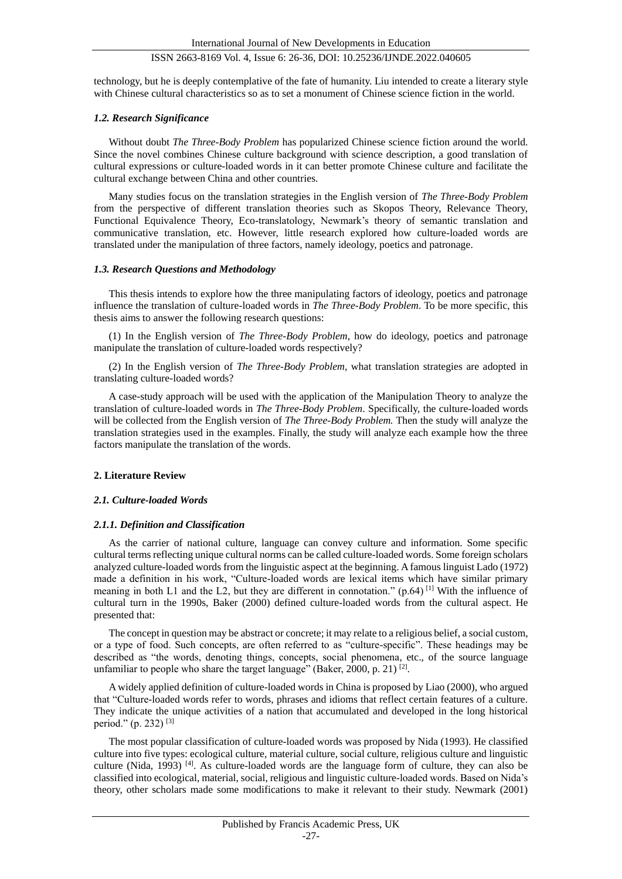technology, but he is deeply contemplative of the fate of humanity. Liu intended to create a literary style with Chinese cultural characteristics so as to set a monument of Chinese science fiction in the world.

## *1.2. Research Significance*

Without doubt *The Three-Body Problem* has popularized Chinese science fiction around the world. Since the novel combines Chinese culture background with science description, a good translation of cultural expressions or culture-loaded words in it can better promote Chinese culture and facilitate the cultural exchange between China and other countries.

Many studies focus on the translation strategies in the English version of *The Three-Body Problem* from the perspective of different translation theories such as Skopos Theory, Relevance Theory, Functional Equivalence Theory, Eco-translatology, Newmark's theory of semantic translation and communicative translation, etc. However, little research explored how culture-loaded words are translated under the manipulation of three factors, namely ideology, poetics and patronage.

### *1.3. Research Questions and Methodology*

This thesis intends to explore how the three manipulating factors of ideology, poetics and patronage influence the translation of culture-loaded words in *The Three-Body Problem*. To be more specific, this thesis aims to answer the following research questions:

(1) In the English version of *The Three-Body Problem*, how do ideology, poetics and patronage manipulate the translation of culture-loaded words respectively?

(2) In the English version of *The Three-Body Problem*, what translation strategies are adopted in translating culture-loaded words?

A case-study approach will be used with the application of the Manipulation Theory to analyze the translation of culture-loaded words in *The Three-Body Problem*. Specifically, the culture-loaded words will be collected from the English version of *The Three-Body Problem.* Then the study will analyze the translation strategies used in the examples. Finally, the study will analyze each example how the three factors manipulate the translation of the words.

## **2. Literature Review**

## *2.1. Culture-loaded Words*

#### *2.1.1. Definition and Classification*

As the carrier of national culture, language can convey culture and information. Some specific cultural terms reflecting unique cultural norms can be called culture-loaded words. Some foreign scholars analyzed culture-loaded words from the linguistic aspect at the beginning. A famous linguist Lado (1972) made a definition in his work, "Culture-loaded words are lexical items which have similar primary meaning in both L1 and the L2, but they are different in connotation." (p.64) [1] With the influence of cultural turn in the 1990s, Baker (2000) defined culture-loaded words from the cultural aspect. He presented that:

The concept in question may be abstract or concrete; it may relate to a religious belief, a social custom, or a type of food. Such concepts, are often referred to as "culture-specific". These headings may be described as "the words, denoting things, concepts, social phenomena, etc., of the source language unfamiliar to people who share the target language" (Baker, 2000, p. 21)  $^{[2]}$ .

A widely applied definition of culture-loaded words in China is proposed by Liao (2000), who argued that "Culture-loaded words refer to words, phrases and idioms that reflect certain features of a culture. They indicate the unique activities of a nation that accumulated and developed in the long historical period." (p. 232) [3]

The most popular classification of culture-loaded words was proposed by Nida (1993). He classified culture into five types: ecological culture, material culture, social culture, religious culture and linguistic culture (Nida, 1993) [4]. As culture-loaded words are the language form of culture, they can also be classified into ecological, material, social, religious and linguistic culture-loaded words. Based on Nida's theory, other scholars made some modifications to make it relevant to their study. Newmark (2001)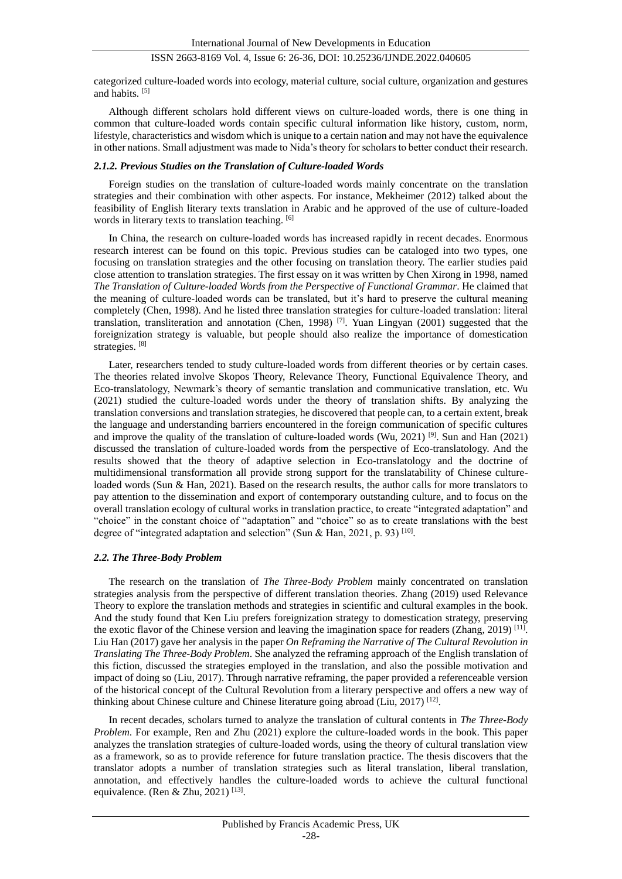categorized culture-loaded words into ecology, material culture, social culture, organization and gestures and habits. [5]

Although different scholars hold different views on culture-loaded words, there is one thing in common that culture-loaded words contain specific cultural information like history, custom, norm, lifestyle, characteristics and wisdom which is unique to a certain nation and may not have the equivalence in other nations. Small adjustment was made to Nida's theory for scholars to better conduct their research.

#### *2.1.2. Previous Studies on the Translation of Culture-loaded Words*

Foreign studies on the translation of culture-loaded words mainly concentrate on the translation strategies and their combination with other aspects. For instance, Mekheimer (2012) talked about the feasibility of English literary texts translation in Arabic and he approved of the use of culture-loaded words in literary texts to translation teaching. [6]

In China, the research on culture-loaded words has increased rapidly in recent decades. Enormous research interest can be found on this topic. Previous studies can be cataloged into two types, one focusing on translation strategies and the other focusing on translation theory. The earlier studies paid close attention to translation strategies. The first essay on it was written by Chen Xirong in 1998, named *The Translation of Culture-loaded Words from the Perspective of Functional Grammar*. He claimed that the meaning of culture-loaded words can be translated, but it's hard to preserve the cultural meaning completely (Chen, 1998). And he listed three translation strategies for culture-loaded translation: literal translation, transliteration and annotation (Chen, 1998) [7]. Yuan Lingyan (2001) suggested that the foreignization strategy is valuable, but people should also realize the importance of domestication strategies. [8]

Later, researchers tended to study culture-loaded words from different theories or by certain cases. The theories related involve Skopos Theory, Relevance Theory, Functional Equivalence Theory, and Eco-translatology, Newmark's theory of semantic translation and communicative translation, etc. Wu (2021) studied the culture-loaded words under the theory of translation shifts. By analyzing the translation conversions and translation strategies, he discovered that people can, to a certain extent, break the language and understanding barriers encountered in the foreign communication of specific cultures and improve the quality of the translation of culture-loaded words (Wu, 2021) <sup>[9]</sup>. Sun and Han (2021) discussed the translation of culture-loaded words from the perspective of Eco-translatology. And the results showed that the theory of adaptive selection in Eco-translatology and the doctrine of multidimensional transformation all provide strong support for the translatability of Chinese cultureloaded words (Sun & Han, 2021). Based on the research results, the author calls for more translators to pay attention to the dissemination and export of contemporary outstanding culture, and to focus on the overall translation ecology of cultural works in translation practice, to create "integrated adaptation" and "choice" in the constant choice of "adaptation" and "choice" so as to create translations with the best degree of "integrated adaptation and selection" (Sun & Han, 2021, p. 93)  $[10]$ .

#### *2.2. The Three-Body Problem*

The research on the translation of *The Three-Body Problem* mainly concentrated on translation strategies analysis from the perspective of different translation theories. Zhang (2019) used Relevance Theory to explore the translation methods and strategies in scientific and cultural examples in the book. And the study found that Ken Liu prefers foreignization strategy to domestication strategy, preserving the exotic flavor of the Chinese version and leaving the imagination space for readers (Zhang, 2019)<sup>[11]</sup>. Liu Han (2017) gave her analysis in the paper *On Reframing the Narrative of The Cultural Revolution in Translating The Three-Body Problem*. She analyzed the reframing approach of the English translation of this fiction, discussed the strategies employed in the translation, and also the possible motivation and impact of doing so (Liu, 2017). Through narrative reframing, the paper provided a referenceable version of the historical concept of the Cultural Revolution from a literary perspective and offers a new way of thinking about Chinese culture and Chinese literature going abroad (Liu, 2017)<sup>[12]</sup>.

In recent decades, scholars turned to analyze the translation of cultural contents in *The Three-Body Problem*. For example, Ren and Zhu (2021) explore the culture-loaded words in the book. This paper analyzes the translation strategies of culture-loaded words, using the theory of cultural translation view as a framework, so as to provide reference for future translation practice. The thesis discovers that the translator adopts a number of translation strategies such as literal translation, liberal translation, annotation, and effectively handles the culture-loaded words to achieve the cultural functional equivalence. (Ren & Zhu, 2021)<sup>[13]</sup>.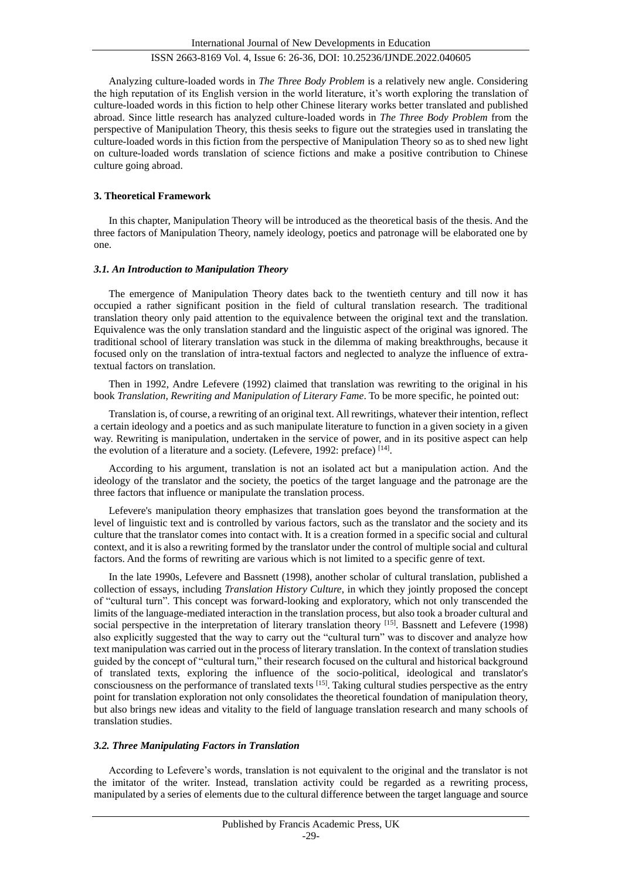Analyzing culture-loaded words in *The Three Body Problem* is a relatively new angle. Considering the high reputation of its English version in the world literature, it's worth exploring the translation of culture-loaded words in this fiction to help other Chinese literary works better translated and published abroad. Since little research has analyzed culture-loaded words in *The Three Body Problem* from the perspective of Manipulation Theory, this thesis seeks to figure out the strategies used in translating the culture-loaded words in this fiction from the perspective of Manipulation Theory so as to shed new light on culture-loaded words translation of science fictions and make a positive contribution to Chinese culture going abroad.

## **3. Theoretical Framework**

In this chapter, Manipulation Theory will be introduced as the theoretical basis of the thesis. And the three factors of Manipulation Theory, namely ideology, poetics and patronage will be elaborated one by one.

## *3.1. An Introduction to Manipulation Theory*

The emergence of Manipulation Theory dates back to the twentieth century and till now it has occupied a rather significant position in the field of cultural translation research. The traditional translation theory only paid attention to the equivalence between the original text and the translation. Equivalence was the only translation standard and the linguistic aspect of the original was ignored. The traditional school of literary translation was stuck in the dilemma of making breakthroughs, because it focused only on the translation of intra-textual factors and neglected to analyze the influence of extratextual factors on translation.

Then in 1992, Andre Lefevere (1992) claimed that translation was rewriting to the original in his book *Translation, Rewriting and Manipulation of Literary Fame*. To be more specific, he pointed out:

Translation is, of course, a rewriting of an original text. All rewritings, whatever their intention, reflect a certain ideology and a poetics and as such manipulate literature to function in a given society in a given way. Rewriting is manipulation, undertaken in the service of power, and in its positive aspect can help the evolution of a literature and a society. (Lefevere, 1992: preface)  $[14]$ .

According to his argument, translation is not an isolated act but a manipulation action. And the ideology of the translator and the society, the poetics of the target language and the patronage are the three factors that influence or manipulate the translation process.

Lefevere's manipulation theory emphasizes that translation goes beyond the transformation at the level of linguistic text and is controlled by various factors, such as the translator and the society and its culture that the translator comes into contact with. It is a creation formed in a specific social and cultural context, and it is also a rewriting formed by the translator under the control of multiple social and cultural factors. And the forms of rewriting are various which is not limited to a specific genre of text.

In the late 1990s, Lefevere and Bassnett (1998), another scholar of cultural translation, published a collection of essays, including *Translation History Culture*, in which they jointly proposed the concept of "cultural turn". This concept was forward-looking and exploratory, which not only transcended the limits of the language-mediated interaction in the translation process, but also took a broader cultural and social perspective in the interpretation of literary translation theory [15]. Bassnett and Lefevere (1998) also explicitly suggested that the way to carry out the "cultural turn" was to discover and analyze how text manipulation was carried out in the process of literary translation. In the context of translation studies guided by the concept of "cultural turn," their research focused on the cultural and historical background of translated texts, exploring the influence of the socio-political, ideological and translator's consciousness on the performance of translated texts [15]. Taking cultural studies perspective as the entry point for translation exploration not only consolidates the theoretical foundation of manipulation theory, but also brings new ideas and vitality to the field of language translation research and many schools of translation studies.

## *3.2. Three Manipulating Factors in Translation*

According to Lefevere's words, translation is not equivalent to the original and the translator is not the imitator of the writer. Instead, translation activity could be regarded as a rewriting process, manipulated by a series of elements due to the cultural difference between the target language and source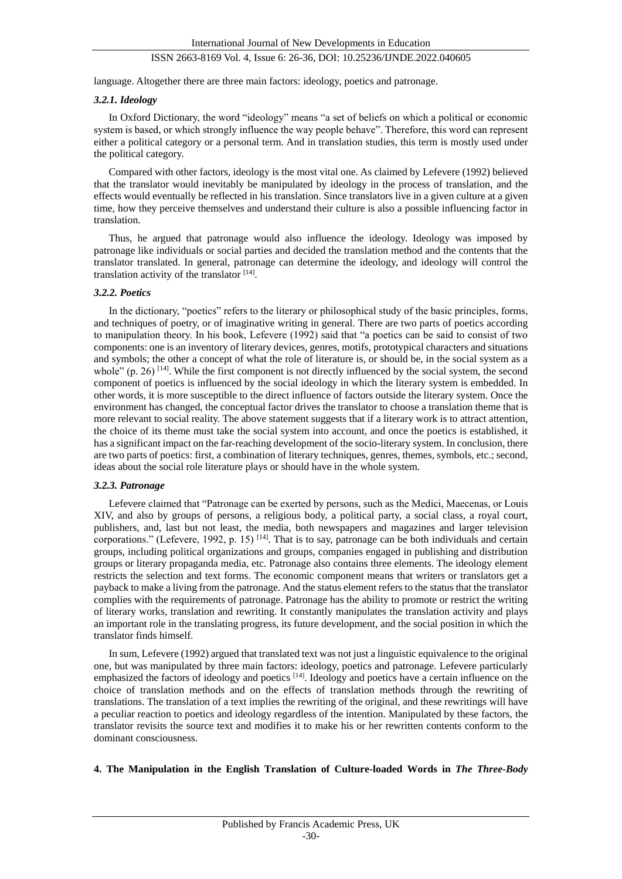language. Altogether there are three main factors: ideology, poetics and patronage.

#### *3.2.1. Ideology*

In Oxford Dictionary, the word "ideology" means "a set of beliefs on which a political or economic system is based, or which strongly influence the way people behave". Therefore, this word can represent either a political category or a personal term. And in translation studies, this term is mostly used under the political category.

Compared with other factors, ideology is the most vital one. As claimed by Lefevere (1992) believed that the translator would inevitably be manipulated by ideology in the process of translation, and the effects would eventually be reflected in his translation. Since translators live in a given culture at a given time, how they perceive themselves and understand their culture is also a possible influencing factor in translation.

Thus, he argued that patronage would also influence the ideology. Ideology was imposed by patronage like individuals or social parties and decided the translation method and the contents that the translator translated. In general, patronage can determine the ideology, and ideology will control the translation activity of the translator [14].

#### *3.2.2. Poetics*

In the dictionary, "poetics" refers to the literary or philosophical study of the basic principles, forms, and techniques of poetry, or of imaginative writing in general. There are two parts of poetics according to manipulation theory. In his book, Lefevere (1992) said that "a poetics can be said to consist of two components: one is an inventory of literary devices, genres, motifs, prototypical characters and situations and symbols; the other a concept of what the role of literature is, or should be, in the social system as a whole"  $(p, 26)$  [14]. While the first component is not directly influenced by the social system, the second component of poetics is influenced by the social ideology in which the literary system is embedded. In other words, it is more susceptible to the direct influence of factors outside the literary system. Once the environment has changed, the conceptual factor drives the translator to choose a translation theme that is more relevant to social reality. The above statement suggests that if a literary work is to attract attention, the choice of its theme must take the social system into account, and once the poetics is established, it has a significant impact on the far-reaching development of the socio-literary system. In conclusion, there are two parts of poetics: first, a combination of literary techniques, genres, themes, symbols, etc.; second, ideas about the social role literature plays or should have in the whole system.

#### *3.2.3. Patronage*

Lefevere claimed that "Patronage can be exerted by persons, such as the Medici, Maecenas, or Louis XIV, and also by groups of persons, a religious body, a political party, a social class, a royal court, publishers, and, last but not least, the media, both newspapers and magazines and larger television corporations." (Lefevere, 1992, p. 15) <sup>[14]</sup>. That is to say, patronage can be both individuals and certain groups, including political organizations and groups, companies engaged in publishing and distribution groups or literary propaganda media, etc. Patronage also contains three elements. The ideology element restricts the selection and text forms. The economic component means that writers or translators get a payback to make a living from the patronage. And the status element refers to the status that the translator complies with the requirements of patronage. Patronage has the ability to promote or restrict the writing of literary works, translation and rewriting. It constantly manipulates the translation activity and plays an important role in the translating progress, its future development, and the social position in which the translator finds himself.

In sum, Lefevere (1992) argued that translated text was not just a linguistic equivalence to the original one, but was manipulated by three main factors: ideology, poetics and patronage. Lefevere particularly emphasized the factors of ideology and poetics <sup>[14]</sup>. Ideology and poetics have a certain influence on the choice of translation methods and on the effects of translation methods through the rewriting of translations. The translation of a text implies the rewriting of the original, and these rewritings will have a peculiar reaction to poetics and ideology regardless of the intention. Manipulated by these factors, the translator revisits the source text and modifies it to make his or her rewritten contents conform to the dominant consciousness.

#### **4. The Manipulation in the English Translation of Culture-loaded Words in** *The Three-Body*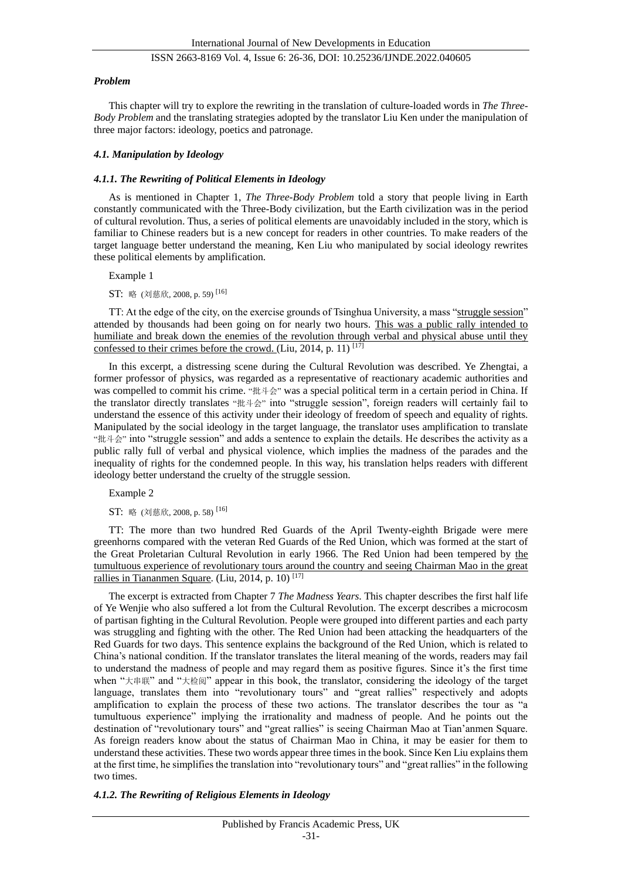#### *Problem*

This chapter will try to explore the rewriting in the translation of culture-loaded words in *The Three-Body Problem* and the translating strategies adopted by the translator Liu Ken under the manipulation of three major factors: ideology, poetics and patronage.

## *4.1. Manipulation by Ideology*

### *4.1.1. The Rewriting of Political Elements in Ideology*

As is mentioned in Chapter 1, *The Three-Body Problem* told a story that people living in Earth constantly communicated with the Three-Body civilization, but the Earth civilization was in the period of cultural revolution. Thus, a series of political elements are unavoidably included in the story, which is familiar to Chinese readers but is a new concept for readers in other countries. To make readers of the target language better understand the meaning, Ken Liu who manipulated by social ideology rewrites these political elements by amplification.

Example 1

ST: 略 (刘慈欣, 2008, p. 59) [16]

TT: At the edge of the city, on the exercise grounds of Tsinghua University, a mass "struggle session" attended by thousands had been going on for nearly two hours. This was a public rally intended to humiliate and break down the enemies of the revolution through verbal and physical abuse until they confessed to their crimes before the crowd. (Liu, 2014, p. 11)  $[17]$ 

In this excerpt, a distressing scene during the Cultural Revolution was described. Ye Zhengtai, a former professor of physics, was regarded as a representative of reactionary academic authorities and was compelled to commit his crime. "批斗会" was a special political term in a certain period in China. If the translator directly translates "批斗会" into "struggle session", foreign readers will certainly fail to understand the essence of this activity under their ideology of freedom of speech and equality of rights. Manipulated by the social ideology in the target language, the translator uses amplification to translate "批斗会" into "struggle session" and adds a sentence to explain the details. He describes the activity as a public rally full of verbal and physical violence, which implies the madness of the parades and the inequality of rights for the condemned people. In this way, his translation helps readers with different ideology better understand the cruelty of the struggle session.

Example 2

ST: 略 (刘慈欣, 2008, p. 58) [16]

TT: The more than two hundred Red Guards of the April Twenty-eighth Brigade were mere greenhorns compared with the veteran Red Guards of the Red Union, which was formed at the start of the Great Proletarian Cultural Revolution in early 1966. The Red Union had been tempered by the tumultuous experience of revolutionary tours around the country and seeing Chairman Mao in the great rallies in Tiananmen Square. (Liu, 2014, p. 10)<sup>[17]</sup>

The excerpt is extracted from Chapter 7 *The Madness Years*. This chapter describes the first half life of Ye Wenjie who also suffered a lot from the Cultural Revolution. The excerpt describes a microcosm of partisan fighting in the Cultural Revolution. People were grouped into different parties and each party was struggling and fighting with the other. The Red Union had been attacking the headquarters of the Red Guards for two days. This sentence explains the background of the Red Union, which is related to China's national condition. If the translator translates the literal meaning of the words, readers may fail to understand the madness of people and may regard them as positive figures. Since it's the first time when "大串联" and "大检阅" appear in this book, the translator, considering the ideology of the target language, translates them into "revolutionary tours" and "great rallies" respectively and adopts amplification to explain the process of these two actions. The translator describes the tour as "a tumultuous experience" implying the irrationality and madness of people. And he points out the destination of "revolutionary tours" and "great rallies" is seeing Chairman Mao at Tian'anmen Square. As foreign readers know about the status of Chairman Mao in China, it may be easier for them to understand these activities. These two words appear three times in the book. Since Ken Liu explains them at the first time, he simplifies the translation into "revolutionary tours" and "great rallies" in the following two times.

## *4.1.2. The Rewriting of Religious Elements in Ideology*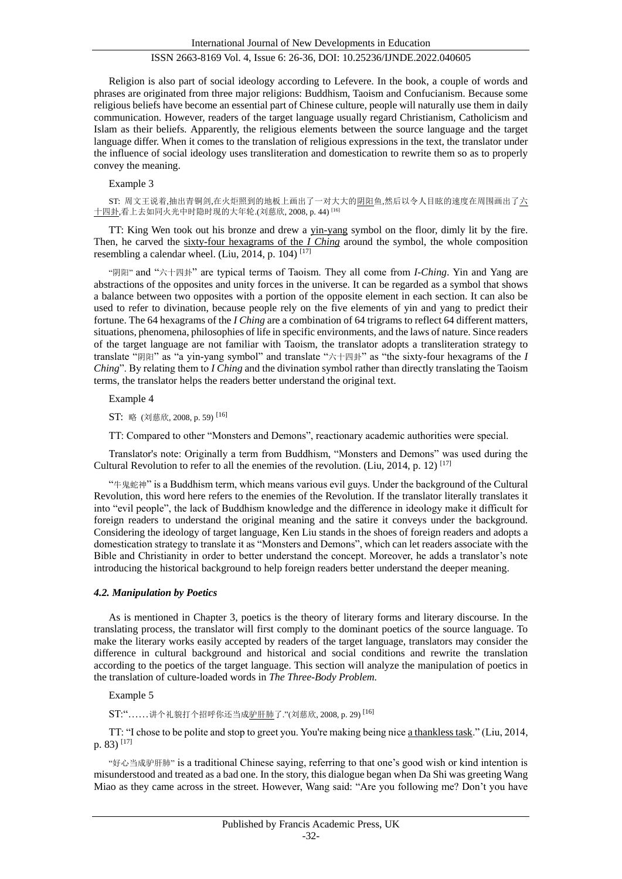Religion is also part of social ideology according to Lefevere. In the book, a couple of words and phrases are originated from three major religions: Buddhism, Taoism and Confucianism. Because some religious beliefs have become an essential part of Chinese culture, people will naturally use them in daily communication. However, readers of the target language usually regard Christianism, Catholicism and Islam as their beliefs. Apparently, the religious elements between the source language and the target language differ. When it comes to the translation of religious expressions in the text, the translator under the influence of social ideology uses transliteration and domestication to rewrite them so as to properly convey the meaning.

#### Example 3

ST: 周文王说着,抽出青铜剑,在火炬照到的地板上画出了一对大大的阴阳鱼,然后以令人目眩的速度在周围画出了六 十四卦,看上去如同火光中时隐时现的大年轮.(刘慈欣, 2008, p. 44) [16]

TT: King Wen took out his bronze and drew a yin-yang symbol on the floor, dimly lit by the fire. Then, he carved the sixty-four hexagrams of the *I Ching* around the symbol, the whole composition resembling a calendar wheel. (Liu, 2014, p. 104) [17]

"阴阳" and "六十四卦" are typical terms of Taoism. They all come from *I-Ching*. Yin and Yang are abstractions of the opposites and unity forces in the universe. It can be regarded as a symbol that shows a balance between two opposites with a portion of the opposite element in each section. It can also be used to refer to divination, because people rely on the five elements of yin and yang to predict their fortune. The 64 hexagrams of the *I Ching* are a combination of 64 trigrams to reflect 64 different matters, situations, phenomena, philosophies of life in specific environments, and the laws of nature. Since readers of the target language are not familiar with Taoism, the translator adopts a transliteration strategy to translate "阴阳" as "a yin-yang symbol" and translate "六十四卦" as "the sixty-four hexagrams of the *I Ching*". By relating them to *I Ching* and the divination symbol rather than directly translating the Taoism terms, the translator helps the readers better understand the original text.

Example 4

ST: 略 (刘慈欣, 2008, p. 59) [16]

TT: Compared to other "Monsters and Demons", reactionary academic authorities were special.

Translator's note: Originally a term from Buddhism, "Monsters and Demons" was used during the Cultural Revolution to refer to all the enemies of the revolution. (Liu, 2014, p. 12)  $^{[17]}$ 

"牛鬼蛇神" is a Buddhism term, which means various evil guys. Under the background of the Cultural Revolution, this word here refers to the enemies of the Revolution. If the translator literally translates it into "evil people", the lack of Buddhism knowledge and the difference in ideology make it difficult for foreign readers to understand the original meaning and the satire it conveys under the background. Considering the ideology of target language, Ken Liu stands in the shoes of foreign readers and adopts a domestication strategy to translate it as "Monsters and Demons", which can let readers associate with the Bible and Christianity in order to better understand the concept. Moreover, he adds a translator's note introducing the historical background to help foreign readers better understand the deeper meaning.

#### *4.2. Manipulation by Poetics*

As is mentioned in Chapter 3, poetics is the theory of literary forms and literary discourse. In the translating process, the translator will first comply to the dominant poetics of the source language. To make the literary works easily accepted by readers of the target language, translators may consider the difference in cultural background and historical and social conditions and rewrite the translation according to the poetics of the target language. This section will analyze the manipulation of poetics in the translation of culture-loaded words in *The Three-Body Problem.*

Example 5

ST:"……讲个礼貌打个招呼你还当成驴肝肺了."(刘慈欣, 2008, p. 29) [16]

TT: "I chose to be polite and stop to greet you. You're making being nice a thankless task." (Liu, 2014, p.  $83)$ <sup>[17]</sup>

"好心当成驴肝肺" is a traditional Chinese saying, referring to that one's good wish or kind intention is misunderstood and treated as a bad one. In the story, this dialogue began when Da Shi was greeting Wang Miao as they came across in the street. However, Wang said: "Are you following me? Don't you have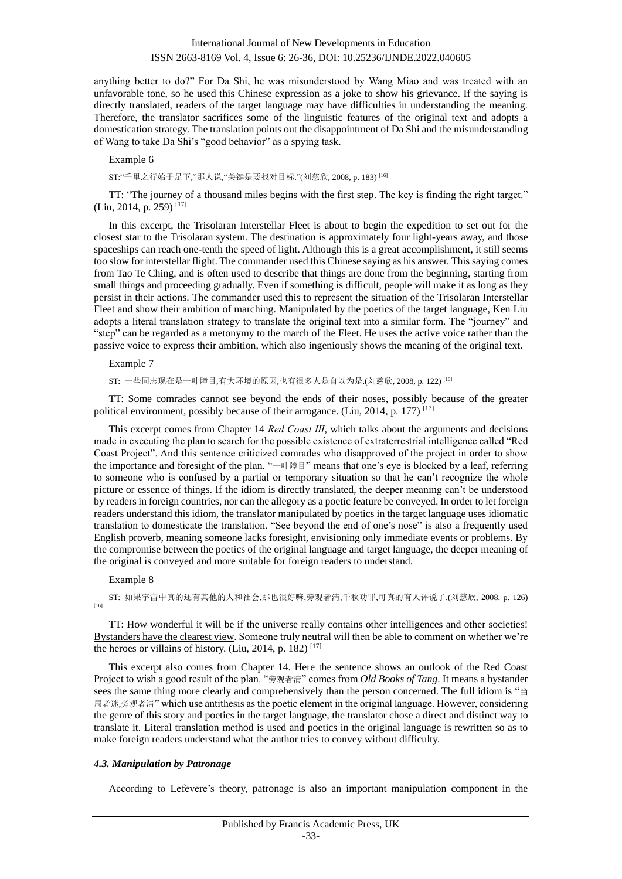anything better to do?" For Da Shi, he was misunderstood by Wang Miao and was treated with an unfavorable tone, so he used this Chinese expression as a joke to show his grievance. If the saying is directly translated, readers of the target language may have difficulties in understanding the meaning. Therefore, the translator sacrifices some of the linguistic features of the original text and adopts a domestication strategy. The translation points out the disappointment of Da Shi and the misunderstanding of Wang to take Da Shi's "good behavior" as a spying task.

Example 6

ST:"千里之行始于足下,"那人说,"关键是要找对目标."(刘慈欣, 2008, p. 183) [16]

TT: "The journey of a thousand miles begins with the first step. The key is finding the right target." (Liu, 2014, p. 259) [17]

In this excerpt, the Trisolaran Interstellar Fleet is about to begin the expedition to set out for the closest star to the Trisolaran system. The destination is approximately four light-years away, and those spaceships can reach one-tenth the speed of light. Although this is a great accomplishment, it still seems too slow for interstellar flight. The commander used this Chinese saying as his answer. This saying comes from Tao Te Ching, and is often used to describe that things are done from the beginning, starting from small things and proceeding gradually. Even if something is difficult, people will make it as long as they persist in their actions. The commander used this to represent the situation of the Trisolaran Interstellar Fleet and show their ambition of marching. Manipulated by the poetics of the target language, Ken Liu adopts a literal translation strategy to translate the original text into a similar form. The "journey" and "step" can be regarded as a metonymy to the march of the Fleet. He uses the active voice rather than the passive voice to express their ambition, which also ingeniously shows the meaning of the original text.

Example 7

ST: 一些同志现在是一叶障目,有大环境的原因,也有很多人是自以为是.(刘慈欣, 2008, p. 122) [16]

TT: Some comrades cannot see beyond the ends of their noses, possibly because of the greater political environment, possibly because of their arrogance. (Liu, 2014, p. 177)<sup>[17]</sup>

This excerpt comes from Chapter 14 *Red Coast III*, which talks about the arguments and decisions made in executing the plan to search for the possible existence of extraterrestrial intelligence called "Red Coast Project". And this sentence criticized comrades who disapproved of the project in order to show the importance and foresight of the plan. "一叶障目" means that one's eye is blocked by a leaf, referring to someone who is confused by a partial or temporary situation so that he can't recognize the whole picture or essence of things. If the idiom is directly translated, the deeper meaning can't be understood by readers in foreign countries, nor can the allegory as a poetic feature be conveyed. In order to let foreign readers understand this idiom, the translator manipulated by poetics in the target language uses idiomatic translation to domesticate the translation. "See beyond the end of one's nose" is also a frequently used English proverb, meaning someone lacks foresight, envisioning only immediate events or problems. By the compromise between the poetics of the original language and target language, the deeper meaning of the original is conveyed and more suitable for foreign readers to understand.

#### Example 8

ST: 如果宇宙中真的还有其他的人和社会,那也很好嘛,旁观者清,千秋功罪,可真的有人评说了.(刘慈欣, 2008, p. 126) [16]

TT: How wonderful it will be if the universe really contains other intelligences and other societies! Bystanders have the clearest view. Someone truly neutral will then be able to comment on whether we're the heroes or villains of history. (Liu, 2014, p. 182)  $[17]$ 

This excerpt also comes from Chapter 14. Here the sentence shows an outlook of the Red Coast Project to wish a good result of the plan. "旁观者清" comes from *Old Books of Tang*. It means a bystander sees the same thing more clearly and comprehensively than the person concerned. The full idiom is "当 局者迷,旁观者清" which use antithesis as the poetic element in the original language. However, considering the genre of this story and poetics in the target language, the translator chose a direct and distinct way to translate it. Literal translation method is used and poetics in the original language is rewritten so as to make foreign readers understand what the author tries to convey without difficulty.

#### *4.3. Manipulation by Patronage*

According to Lefevere's theory, patronage is also an important manipulation component in the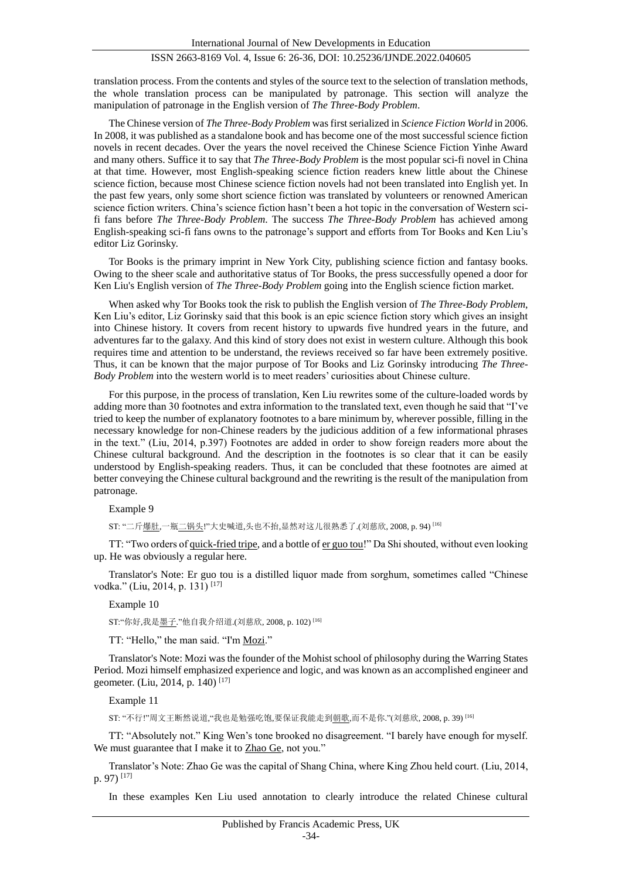translation process. From the contents and styles of the source text to the selection of translation methods, the whole translation process can be manipulated by patronage. This section will analyze the manipulation of patronage in the English version of *The Three-Body Problem*.

The Chinese version of *The Three-Body Problem* was first serialized in *Science Fiction World* in 2006. In 2008, it was published as a standalone book and has become one of the most successful science fiction novels in recent decades. Over the years the novel received the Chinese Science Fiction Yinhe Award and many others. Suffice it to say that *The Three-Body Problem* is the most popular sci-fi novel in China at that time. However, most English-speaking science fiction readers knew little about the Chinese science fiction, because most Chinese science fiction novels had not been translated into English yet. In the past few years, only some short science fiction was translated by volunteers or renowned American science fiction writers. China's science fiction hasn't been a hot topic in the conversation of Western scifi fans before *The Three-Body Problem*. The success *The Three-Body Problem* has achieved among English-speaking sci-fi fans owns to the patronage's support and efforts from Tor Books and Ken Liu's editor Liz Gorinsky.

Tor Books is the primary imprint in New York City, publishing science fiction and fantasy books. Owing to the sheer scale and authoritative status of Tor Books, the press successfully opened a door for Ken Liu's English version of *The Three-Body Problem* going into the English science fiction market.

When asked why Tor Books took the risk to publish the English version of *The Three-Body Problem*, Ken Liu's editor, Liz Gorinsky said that this book is an epic science fiction story which gives an insight into Chinese history. It covers from recent history to upwards five hundred years in the future, and adventures far to the galaxy. And this kind of story does not exist in western culture. Although this book requires time and attention to be understand, the reviews received so far have been extremely positive. Thus, it can be known that the major purpose of Tor Books and Liz Gorinsky introducing *The Three-Body Problem* into the western world is to meet readers' curiosities about Chinese culture.

For this purpose, in the process of translation, Ken Liu rewrites some of the culture-loaded words by adding more than 30 footnotes and extra information to the translated text, even though he said that "I've tried to keep the number of explanatory footnotes to a bare minimum by, wherever possible, filling in the necessary knowledge for non-Chinese readers by the judicious addition of a few informational phrases in the text." (Liu, 2014, p.397) Footnotes are added in order to show foreign readers more about the Chinese cultural background. And the description in the footnotes is so clear that it can be easily understood by English-speaking readers. Thus, it can be concluded that these footnotes are aimed at better conveying the Chinese cultural background and the rewriting is the result of the manipulation from patronage.

Example 9

ST: "二斤爆肚,一瓶二锅头!"大史喊道,头也不抬,显然对这儿很熟悉了.(刘慈欣, 2008, p. 94) [16]

TT: "Two orders of quick-fried tripe, and a bottle of er guo tou!" Da Shi shouted, without even looking up. He was obviously a regular here.

Translator's Note: Er guo tou is a distilled liquor made from sorghum, sometimes called "Chinese vodka." (Liu, 2014, p. 131)<sup>[17]</sup>

Example 10

ST:"你好,我是墨子."他自我介绍道.(刘慈欣, 2008, p. 102) [16]

TT: "Hello," the man said. "I'm Mozi."

Translator's Note: Mozi was the founder of the Mohist school of philosophy during the Warring States Period. Mozi himself emphasized experience and logic, and was known as an accomplished engineer and geometer. (Liu, 2014, p. 140) [17]

Example 11

ST: "不行!"周文王断然说道,"我也是勉强吃饱,要保证我能走到朝歌,而不是你."(刘慈欣, 2008, p. 39) [16]

TT: "Absolutely not." King Wen's tone brooked no disagreement. "I barely have enough for myself. We must guarantee that I make it to Zhao Ge, not you."

Translator's Note: Zhao Ge was the capital of Shang China, where King Zhou held court. (Liu, 2014, p. 97) [17]

In these examples Ken Liu used annotation to clearly introduce the related Chinese cultural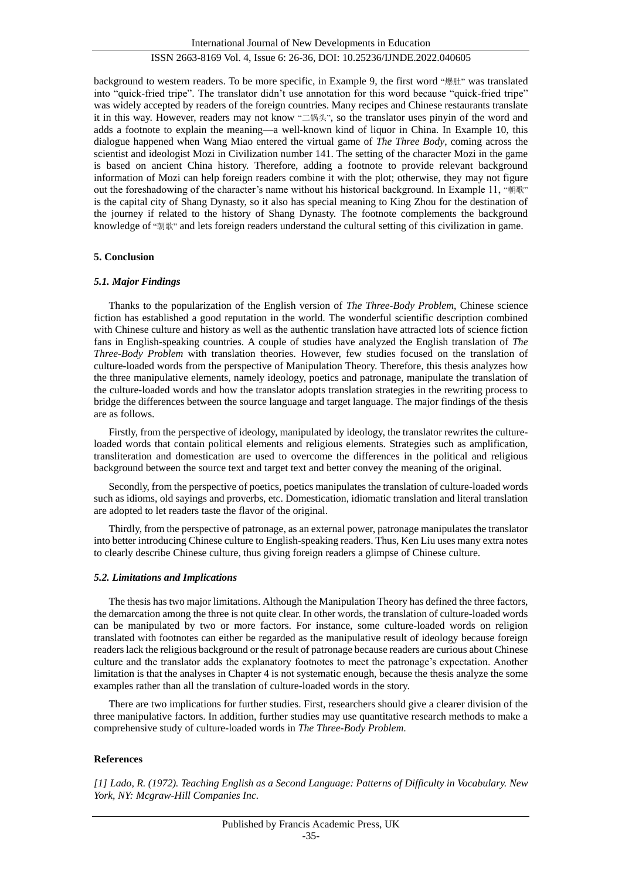International Journal of New Developments in Education

## ISSN 2663-8169 Vol. 4, Issue 6: 26-36, DOI: 10.25236/IJNDE.2022.040605

background to western readers. To be more specific, in Example 9, the first word "爆肚" was translated into "quick-fried tripe". The translator didn't use annotation for this word because "quick-fried tripe" was widely accepted by readers of the foreign countries. Many recipes and Chinese restaurants translate it in this way. However, readers may not know "二锅头", so the translator uses pinyin of the word and adds a footnote to explain the meaning—a well-known kind of liquor in China. In Example 10, this dialogue happened when Wang Miao entered the virtual game of *The Three Body*, coming across the scientist and ideologist Mozi in Civilization number 141. The setting of the character Mozi in the game is based on ancient China history. Therefore, adding a footnote to provide relevant background information of Mozi can help foreign readers combine it with the plot; otherwise, they may not figure out the foreshadowing of the character's name without his historical background. In Example 11, "朝歌" is the capital city of Shang Dynasty, so it also has special meaning to King Zhou for the destination of the journey if related to the history of Shang Dynasty. The footnote complements the background knowledge of "朝歌" and lets foreign readers understand the cultural setting of this civilization in game.

## **5. Conclusion**

## *5.1. Major Findings*

Thanks to the popularization of the English version of *The Three-Body Problem*, Chinese science fiction has established a good reputation in the world. The wonderful scientific description combined with Chinese culture and history as well as the authentic translation have attracted lots of science fiction fans in English-speaking countries. A couple of studies have analyzed the English translation of *The Three-Body Problem* with translation theories. However, few studies focused on the translation of culture-loaded words from the perspective of Manipulation Theory. Therefore, this thesis analyzes how the three manipulative elements, namely ideology, poetics and patronage, manipulate the translation of the culture-loaded words and how the translator adopts translation strategies in the rewriting process to bridge the differences between the source language and target language. The major findings of the thesis are as follows.

Firstly, from the perspective of ideology, manipulated by ideology, the translator rewrites the cultureloaded words that contain political elements and religious elements. Strategies such as amplification, transliteration and domestication are used to overcome the differences in the political and religious background between the source text and target text and better convey the meaning of the original.

Secondly, from the perspective of poetics, poetics manipulates the translation of culture-loaded words such as idioms, old sayings and proverbs, etc. Domestication, idiomatic translation and literal translation are adopted to let readers taste the flavor of the original.

Thirdly, from the perspective of patronage, as an external power, patronage manipulates the translator into better introducing Chinese culture to English-speaking readers. Thus, Ken Liu uses many extra notes to clearly describe Chinese culture, thus giving foreign readers a glimpse of Chinese culture.

## *5.2. Limitations and Implications*

The thesis has two major limitations. Although the Manipulation Theory has defined the three factors, the demarcation among the three is not quite clear. In other words, the translation of culture-loaded words can be manipulated by two or more factors. For instance, some culture-loaded words on religion translated with footnotes can either be regarded as the manipulative result of ideology because foreign readers lack the religious background or the result of patronage because readers are curious about Chinese culture and the translator adds the explanatory footnotes to meet the patronage's expectation. Another limitation is that the analyses in Chapter 4 is not systematic enough, because the thesis analyze the some examples rather than all the translation of culture-loaded words in the story.

There are two implications for further studies. First, researchers should give a clearer division of the three manipulative factors. In addition, further studies may use quantitative research methods to make a comprehensive study of culture-loaded words in *The Three-Body Problem*.

## **References**

*[1] Lado, R. (1972). Teaching English as a Second Language: Patterns of Difficulty in Vocabulary. New York, NY: Mcgraw-Hill Companies Inc.*